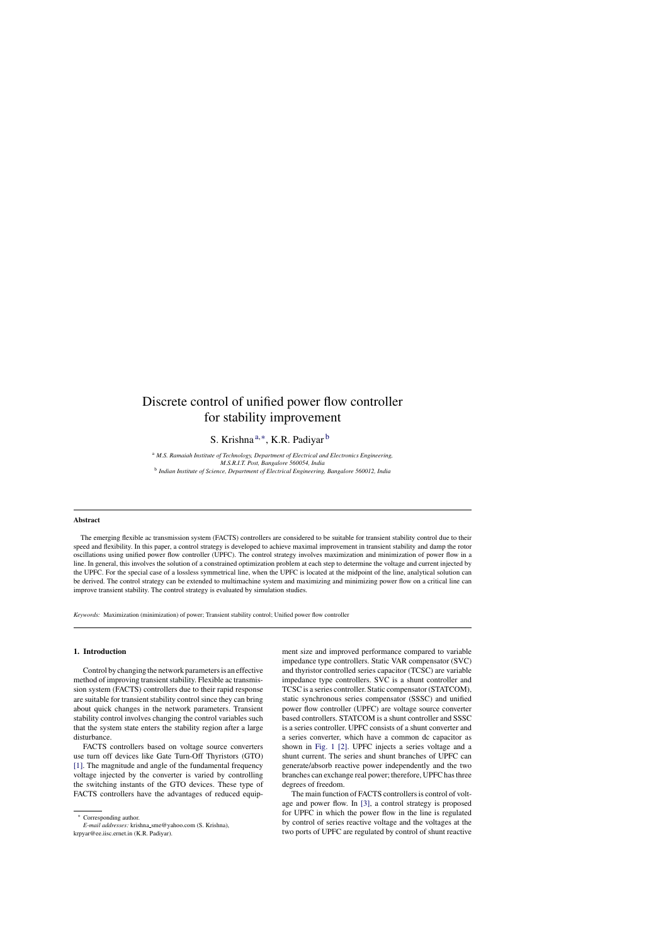# Discrete control of unified power flow controller for stability improvement

S. Krishna<sup>a,∗</sup>, K.R. Padiyar <sup>b</sup>

<sup>a</sup> *M.S. Ramaiah Institute of Technology, Department of Electrical and Electronics Engineering, M.S.R.I.T. Post, Bangalore 560054, India* b *Indian Institute of Science, Department of Electrical Engineering, Bangalore 560012, India*

#### **Abstract**

The emerging flexible ac transmission system (FACTS) controllers are considered to be suitable for transient stability control due to their speed and flexibility. In this paper, a control strategy is developed to achieve maximal improvement in transient stability and damp the rotor oscillations using unified power flow controller (UPFC). The control strategy involves maximization and minimization of power flow in a line. In general, this involves the solution of a constrained optimization problem at each step to determine the voltage and current injected by the UPFC. For the special case of a lossless symmetrical line, when the UPFC is located at the midpoint of the line, analytical solution can be derived. The control strategy can be extended to multimachine system and maximizing and minimizing power flow on a critical line can improve transient stability. The control strategy is evaluated by simulation studies.

*Keywords:* Maximization (minimization) of power; Transient stability control; Unified power flow controller

# **1. Introduction**

Control by changing the network parameters is an effective method of improving transient stability. Flexible ac transmission system (FACTS) controllers due to their rapid response are suitable for transient stability control since they can bring about quick changes in the network parameters. Transient stability control involves changing the control variables such that the system state enters the stability region after a large disturbance.

FACTS controllers based on voltage source converters use turn off devices like Gate Turn-Off Thyristors (GTO) [1]. The magnitude and angle of the fundamental frequency voltage injected by the converter is varied by controlling the switching instants of the GTO devices. These type of FACTS controllers have the advantages of reduced equip-

∗ Corresponding author.

*E-mail addresses:* krishna sme@yahoo.com (S. Krishna), krpyar@ee.iisc.ernet.in (K.R. Padiyar).

ment size and improved performance compared to variable impedance type controllers. Static VAR compensator (SVC) and thyristor controlled series capacitor (TCSC) are variable impedance type controllers. SVC is a shunt controller and TCSC is a series controller. Static compensator (STATCOM), static synchronous series compensator (SSSC) and unified power flow controller (UPFC) are voltage source converter based controllers. STATCOM is a shunt controller and SSSC is a series controller. UPFC consists of a shunt converter and a series converter, which have a common dc capacitor as shown in Fig. 1 [2]. UPFC injects a series voltage and a shunt current. The series and shunt branches of UPFC can generate/absorb reactive power independently and the two branches can exchange real power; therefore, UPFC has three degrees of freedom.

The main function of FACTS controllers is control of voltage and power flow. In [3], a control strategy is proposed for UPFC in which the power flow in the line is regulated by control of series reactive voltage and the voltages at the two ports of UPFC are regulated by control of shunt reactive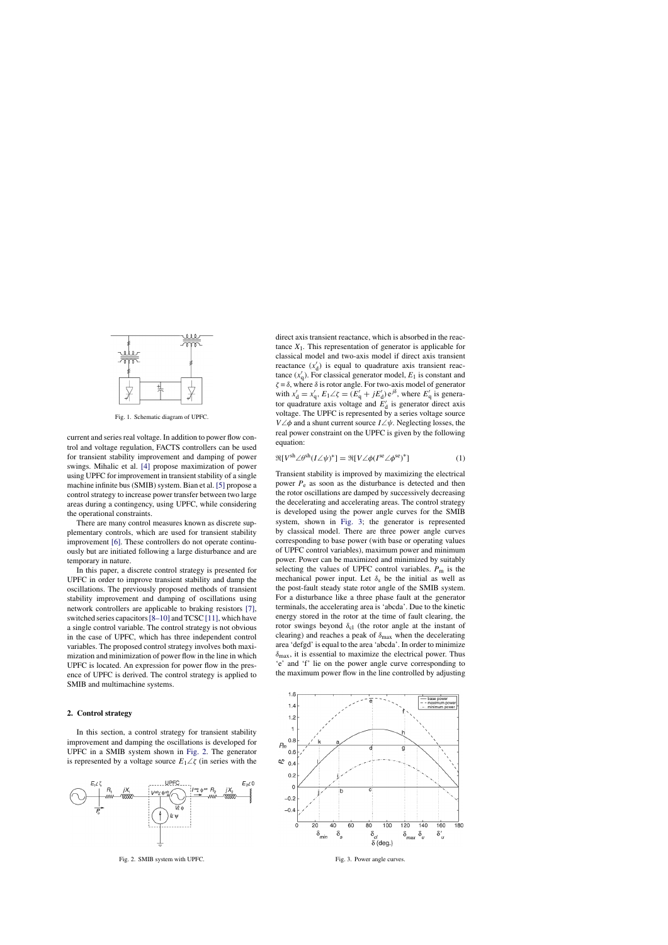

Fig. 1. Schematic diagram of UPFC.

current and series real voltage. In addition to power flow control and voltage regulation, FACTS controllers can be used for transient stability improvement and damping of power swings. Mihalic et al. [4] propose maximization of power using UPFC for improvement in transient stability of a single machine infinite bus (SMIB) system. Bian et al. [5] propose a control strategy to increase power transfer between two large areas during a contingency, using UPFC, while considering the operational constraints.

There are many control measures known as discrete supplementary controls, which are used for transient stability improvement [6]. These controllers do not operate continuously but are initiated following a large disturbance and are temporary in nature.

In this paper, a discrete control strategy is presented for UPFC in order to improve transient stability and damp the oscillations. The previously proposed methods of transient stability improvement and damping of oscillations using network controllers are applicable to braking resistors [7], switched series capacitors [8–10] and TCSC [11], which have a single control variable. The control strategy is not obvious in the case of UPFC, which has three independent control variables. The proposed control strategy involves both maximization and minimization of power flow in the line in which UPFC is located. An expression for power flow in the presence of UPFC is derived. The control strategy is applied to SMIB and multimachine systems.

# **2. Control strategy**

In this section, a control strategy for transient stability improvement and damping the oscillations is developed for UPFC in a SMIB system shown in Fig. 2. The generator is represented by a voltage source  $E_1 \angle \zeta$  (in series with the



Fig. 2. SMIB system with UPFC.

direct axis transient reactance, which is absorbed in the reactance  $X_1$ . This representation of generator is applicable for classical model and two-axis model if direct axis transient reactance  $(x'_d)$  is equal to quadrature axis transient reactance  $(x'_q)$ . For classical generator model,  $E_1$  is constant and  $\zeta = \delta$ , where  $\delta$  is rotor angle. For two-axis model of generator with  $x'_d = x'_q$ ,  $E_1 \angle \zeta = (E'_q + jE'_d) e^{j\delta}$ , where  $E'_q$  is generator quadrature axis voltage and  $E'_{d}$  is generator direct axis voltage. The UPFC is represented by a series voltage source V∠φ and a shunt current source I∠ψ*.* Neglecting losses, the real power constraint on the UPFC is given by the following equation:

$$
\Re[V^{\rm sh}\angle\theta^{\rm sh}(I\angle\psi)^*] = \Re[V\angle\phi(I^{\rm se}\angle\phi^{\rm se})^*]
$$
 (1)

Transient stability is improved by maximizing the electrical power  $P_e$  as soon as the disturbance is detected and then the rotor oscillations are damped by successively decreasing the decelerating and accelerating areas. The control strategy is developed using the power angle curves for the SMIB system, shown in Fig. 3; the generator is represented by classical model. There are three power angle curves corresponding to base power (with base or operating values of UPFC control variables), maximum power and minimum power. Power can be maximized and minimized by suitably selecting the values of UPFC control variables. *P*<sup>m</sup> is the mechanical power input. Let  $\delta_s$  be the initial as well as the post-fault steady state rotor angle of the SMIB system. For a disturbance like a three phase fault at the generator terminals, the accelerating area is 'abcda'. Due to the kinetic energy stored in the rotor at the time of fault clearing, the rotor swings beyond  $\delta_{\rm cl}$  (the rotor angle at the instant of clearing) and reaches a peak of  $\delta_{\text{max}}$  when the decelerating area 'defgd' is equal to the area 'abcda'. In order to minimize  $\delta_{\text{max}}$ , it is essential to maximize the electrical power. Thus 'e' and 'f' lie on the power angle curve corresponding to the maximum power flow in the line controlled by adjusting



Fig. 3. Power angle curves.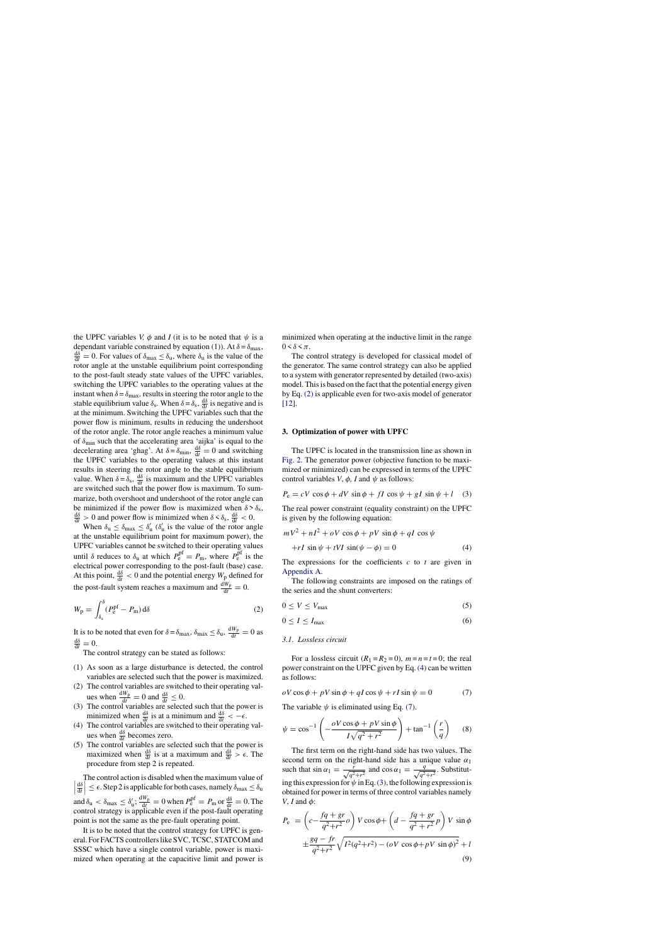the UPFC variables *V,*  $\phi$  and *I* (it is to be noted that  $\psi$  is a dependant variable constrained by equation (1)). At  $\delta = \delta_{\text{max}}$ ,  $\frac{d\delta}{dt} = 0$ . For values of  $\delta_{\text{max}} \leq \delta_{\text{u}}$ , where  $\delta_{\text{u}}$  is the value of the rotor angle at the unstable equilibrium point corresponding to the post-fault steady state values of the UPFC variables, switching the UPFC variables to the operating values at the instant when  $\delta = \delta_{\text{max}}$ , results in steering the rotor angle to the stable equilibrium value  $\delta_s$ . When  $\delta = \delta_s$ ,  $\frac{d\delta}{dt}$  is negative and is at the minimum. Switching the UPFC variables such that the power flow is minimum, results in reducing the undershoot of the rotor angle. The rotor angle reaches a minimum value of  $\delta_{\text{min}}$  such that the accelerating area 'aijka' is equal to the decelerating area 'ghag'. At  $\delta = \delta_{\text{min}}$ ,  $\frac{d\delta}{dt} = 0$  and switching the UPFC variables to the operating values at this instant results in steering the rotor angle to the stable equilibrium value. When  $\delta = \delta_s$ ,  $\frac{d\delta}{dt}$  is maximum and the UPFC variables are switched such that the power flow is maximum. To summarize, both overshoot and undershoot of the rotor angle can be minimized if the power flow is maximized when  $\delta > \delta_s$ , dδ  $\frac{d\delta}{dt} > 0$  and power flow is minimized when  $\delta < \delta_s$ ,  $\frac{d\delta}{dt} < 0$ .

When  $\delta_{\rm u} \leq \delta_{\rm max} \leq \delta_{\rm u}'$  ( $\delta_{\rm u}'$  is the value of the rotor angle at the unstable equilibrium point for maximum power), the UPFC variables cannot be switched to their operating values until  $\delta$  reduces to  $\delta_u$  at which  $P_e^{\text{pf}} = P_m$ , where  $P_e^{\text{pf}}$  is the electrical power corresponding to the post-fault (base) case. At this point,  $\frac{d\delta}{dt} < 0$  and the potential energy  $W_p$  defined for the post-fault system reaches a maximum and  $\frac{dW_p}{dt} = 0$ .

$$
W_{\rm p} = \int_{\delta_{\rm s}}^{\delta} (P_{\rm e}^{\rm pf} - P_{\rm m}) \,\mathrm{d}\delta \tag{2}
$$

It is to be noted that even for  $\delta = \delta_{\text{max}}$ ,  $\delta_{\text{max}} \leq \delta_{\text{u}}$ ,  $\frac{dW_{\text{p}}}{dt} = 0$  as  $\frac{d\delta}{dt} = 0.$ 

The control strategy can be stated as follows:

- (1) As soon as a large disturbance is detected, the control variables are selected such that the power is maximized.
- (2) The control variables are switched to their operating values when  $\frac{dW_p}{dt} = 0$  and  $\frac{d\delta}{dt} \leq 0$ .
- (3) The control variables are selected such that the power is minimized when  $\frac{d\delta}{dt}$  is at a minimum and  $\frac{d\delta}{dt} < -\epsilon$ .
- (4) The control variables are switched to their operating values when  $\frac{d\delta}{dt}$  becomes zero.
- (5) The control variables are selected such that the power is maximized when  $\frac{d\delta}{dt}$  is at a maximum and  $\frac{d\delta}{dt} > \epsilon$ . The procedure from step 2 is repeated.

 $\left|\frac{d\delta}{dt}\right| \leq \epsilon$ . Step 2 is applicable for both cases, namely  $\delta_{\text{max}} \leq \delta_{\text{u}}$ The control action is disabled when the maximum value of  $|$ <sup>at</sup> | and  $\delta_{\rm u} < \delta_{\rm max} \leq \delta_{\rm u}'$ ;  $\frac{dW_{\rm p}}{dt} = 0$  when  $P_{\rm e}^{\rm pf} = P_{\rm m}$  or  $\frac{d\delta}{dt} = 0$ . The control strategy is applicable even if the post-fault operating point is not the same as the pre-fault operating point.

It is to be noted that the control strategy for UPFC is general. For FACTS controllers like SVC, TCSC, STATCOM and SSSC which have a single control variable, power is maximized when operating at the capacitive limit and power is minimized when operating at the inductive limit in the range  $0 \leq \delta \leq \pi$ .

The control strategy is developed for classical model of the generator. The same control strategy can also be applied to a system with generator represented by detailed (two-axis) model. This is based on the fact that the potential energy given by Eq. (2) is applicable even for two-axis model of generator [12].

#### **3. Optimization of power with UPFC**

The UPFC is located in the transmission line as shown in Fig. 2. The generator power (objective function to be maximized or minimized) can be expressed in terms of the UPFC control variables *V*,  $\phi$ , *I* and  $\psi$  as follows:

$$
P_e = cV \cos \phi + dV \sin \phi + fI \cos \psi + gI \sin \psi + l \quad (3)
$$

The real power constraint (equality constraint) on the UPFC is given by the following equation:

$$
mV2 + nI2 + oV \cos \phi + pV \sin \phi + qI \cos \psi
$$
  
+rI \sin \psi + tVI \sin(\psi - \phi) = 0 (4)

The expressions for the coefficients *c* to *t* are given in Appendix A.

The following constraints are imposed on the ratings of the series and the shunt converters:

$$
0 \le V \le V_{\text{max}} \tag{5}
$$

$$
0 \le I \le I_{\text{max}} \tag{6}
$$

# *3.1. Lossless circuit*

For a lossless circuit  $(R_1 = R_2 = 0)$ ,  $m = n = t = 0$ ; the real power constraint on the UPFC given by Eq. (4) can be written as follows:

 $oV \cos \phi + pV \sin \phi + qI \cos \psi + rI \sin \psi = 0$  (7)

The variable  $\psi$  is eliminated using Eq. (7).

$$
\psi = \cos^{-1}\left(-\frac{oV\cos\phi + pV\sin\phi}{I\sqrt{q^2 + r^2}}\right) + \tan^{-1}\left(\frac{r}{q}\right) \tag{8}
$$

The first term on the right-hand side has two values. The second term on the right-hand side has a unique value  $\alpha_1$ such that  $\sin \alpha_1 = \frac{r}{\sqrt{q^2+r^2}}$  and  $\cos \alpha_1 = \frac{q}{\sqrt{q^2}}$  $\frac{q}{q^2+r^2}$ . Substituting this expression for  $\psi$  in Eq. (3), the following expression is obtained for power in terms of three control variables namely *V*, *I* and φ:

$$
P_{e} = \left(c - \frac{fq + gr}{q^{2} + r^{2}} \rho\right) V \cos \phi + \left(d - \frac{fq + gr}{q^{2} + r^{2}} p\right) V \sin \phi
$$
  

$$
\pm \frac{sq - fr}{q^{2} + r^{2}} \sqrt{I^{2}(q^{2} + r^{2}) - (\rho V \cos \phi + pV \sin \phi)^{2}} + l
$$
(9)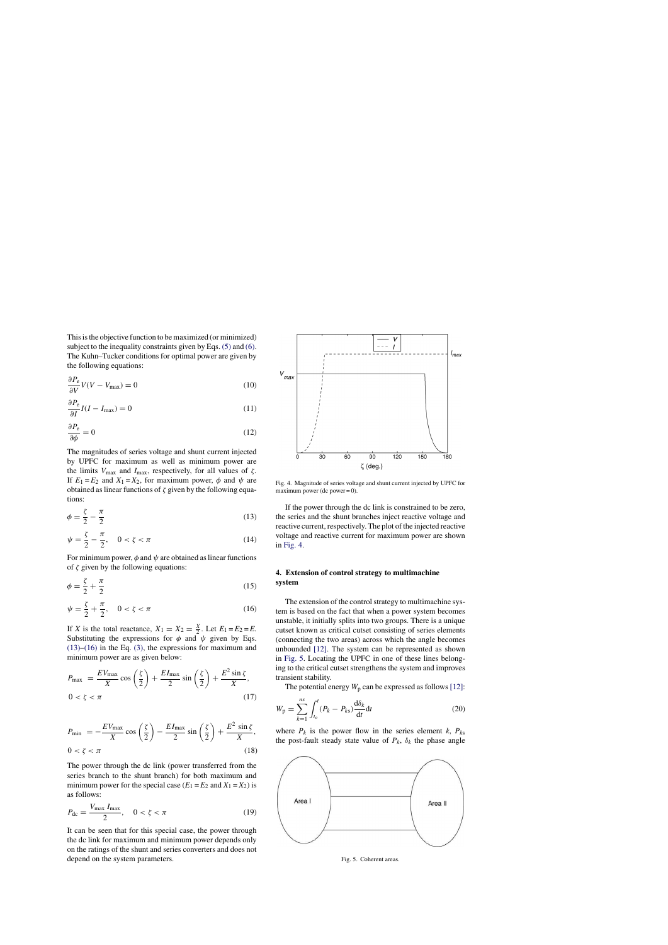This is the objective function to be maximized (or minimized) subject to the inequality constraints given by Eqs.  $(5)$  and  $(6)$ . The Kuhn–Tucker conditions for optimal power are given by the following equations:

$$
\frac{\partial P_e}{\partial V}V(V - V_{\text{max}}) = 0\tag{10}
$$

$$
\frac{\partial P_e}{\partial I}I(I - I_{\text{max}}) = 0\tag{11}
$$

$$
\frac{\partial P_e}{\partial \phi} = 0 \tag{12}
$$

The magnitudes of series voltage and shunt current injected by UPFC for maximum as well as minimum power are the limits  $V_{\text{max}}$  and  $I_{\text{max}}$ , respectively, for all values of  $\zeta$ . If  $E_1 = E_2$  and  $X_1 = X_2$ , for maximum power,  $\phi$  and  $\psi$  are obtained as linear functions of  $\zeta$  given by the following equations:

$$
\phi = \frac{\zeta}{2} - \frac{\pi}{2} \tag{13}
$$

$$
\psi = \frac{\zeta}{2} - \frac{\pi}{2}, \quad 0 < \zeta < \pi \tag{14}
$$

For minimum power,  $\phi$  and  $\psi$  are obtained as linear functions of  $\zeta$  given by the following equations:

$$
\phi = \frac{\zeta}{2} + \frac{\pi}{2} \tag{15}
$$

$$
\psi = \frac{\zeta}{2} + \frac{\pi}{2}, \quad 0 < \zeta < \pi \tag{16}
$$

If *X* is the total reactance,  $X_1 = X_2 = \frac{X}{2}$ . Let  $E_1 = E_2 = E$ . Substituting the expressions for  $\phi$  and  $\psi$  given by Eqs. (13)–(16) in the Eq. (3), the expressions for maximum and minimum power are as given below:

$$
P_{\text{max}} = \frac{EV_{\text{max}}}{X} \cos\left(\frac{\zeta}{2}\right) + \frac{EI_{\text{max}}}{2} \sin\left(\frac{\zeta}{2}\right) + \frac{E^2 \sin \zeta}{X},
$$
  
0 < \zeta < \pi (17)

$$
P_{\min} = -\frac{EV_{\max}}{X} \cos\left(\frac{\zeta}{2}\right) - \frac{EI_{\max}}{2} \sin\left(\frac{\zeta}{2}\right) + \frac{E^2 \sin \zeta}{X},
$$
  
0 < \zeta < \pi (18)

The power through the dc link (power transferred from the series branch to the shunt branch) for both maximum and minimum power for the special case  $(E_1 = E_2 \text{ and } X_1 = X_2)$  is as follows:

$$
P_{\rm dc} = \frac{V_{\rm max} I_{\rm max}}{2}, \quad 0 < \zeta < \pi \tag{19}
$$

It can be seen that for this special case, the power through the dc link for maximum and minimum power depends only on the ratings of the shunt and series converters and does not depend on the system parameters.



Fig. 4. Magnitude of series voltage and shunt current injected by UPFC for maximum power (dc power  $= 0$ ).

If the power through the dc link is constrained to be zero, the series and the shunt branches inject reactive voltage and reactive current, respectively. The plot of the injected reactive voltage and reactive current for maximum power are shown in Fig. 4.

# **4. Extension of control strategy to multimachine system**

The extension of the control strategy to multimachine system is based on the fact that when a power system becomes unstable, it initially splits into two groups. There is a unique cutset known as critical cutset consisting of series elements (connecting the two areas) across which the angle becomes unbounded [12]. The system can be represented as shown in Fig. 5. Locating the UPFC in one of these lines belonging to the critical cutset strengthens the system and improves transient stability.

The potential energy  $W_p$  can be expressed as follows [12]:

$$
W_{\mathbf{p}} = \sum_{k=1}^{ns} \int_{t_o}^{t} (P_k - P_{ks}) \frac{\mathrm{d}\delta_k}{\mathrm{d}t} \mathrm{d}t \tag{20}
$$

where  $P_k$  is the power flow in the series element  $k$ ,  $P_{ks}$ the post-fault steady state value of  $P_k$ ,  $\delta_k$  the phase angle



Fig. 5. Coherent areas.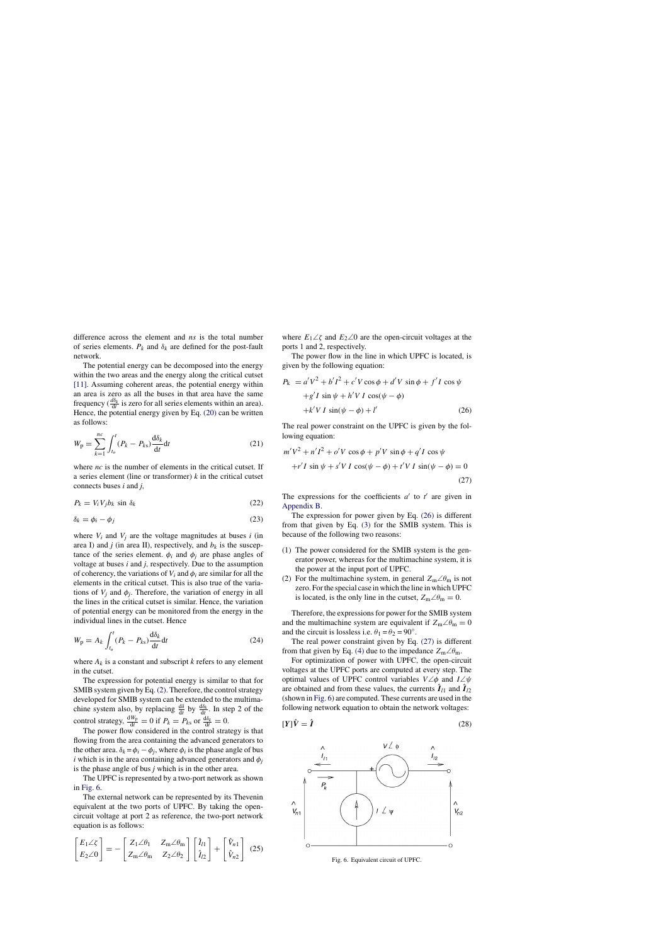difference across the element and *ns* is the total number of series elements.  $P_k$  and  $\delta_k$  are defined for the post-fault network.

The potential energy can be decomposed into the energy within the two areas and the energy along the critical cutset [11]. Assuming coherent areas, the potential energy within an area is zero as all the buses in that area have the same frequency ( $\frac{d\delta_k}{dt}$  is zero for all series elements within an area). Hence, the potential energy given by Eq. (20) can be written as follows:

$$
W_{\mathbf{p}} = \sum_{k=1}^{nc} \int_{t_o}^{t} (P_k - P_{ks}) \frac{\mathrm{d}\delta_k}{\mathrm{d}t} \mathrm{d}t \tag{21}
$$

where *nc* is the number of elements in the critical cutset. If a series element (line or transformer) *k* in the critical cutset connects buses *i* and *j*,

$$
P_k = V_i V_j b_k \sin \delta_k \tag{22}
$$

$$
\delta_k = \phi_i - \phi_j \tag{23}
$$

where  $V_i$  and  $V_j$  are the voltage magnitudes at buses *i* (in area I) and *j* (in area II), respectively, and  $b_k$  is the susceptance of the series element.  $\phi_i$  and  $\phi_j$  are phase angles of voltage at buses *i* and *j*, respectively. Due to the assumption of coherency, the variations of  $V_i$  and  $\phi_i$  are similar for all the elements in the critical cutset. This is also true of the variations of  $V_j$  and  $\phi_j$ . Therefore, the variation of energy in all the lines in the critical cutset is similar. Hence, the variation of potential energy can be monitored from the energy in the individual lines in the cutset. Hence

$$
W_{\rm p} = A_k \int_{t_o}^{t} (P_k - P_{ks}) \frac{\mathrm{d}\delta_k}{\mathrm{d}t} \mathrm{d}t \tag{24}
$$

where  $A_k$  is a constant and subscript  $k$  refers to any element in the cutset.

The expression for potential energy is similar to that for SMIB system given by Eq.(2). Therefore, the control strategy developed for SMIB system can be extended to the multimachine system also, by replacing  $\frac{d\delta}{dt}$  by  $\frac{d\delta_k}{dt}$ . In step 2 of the control strategy,  $\frac{dW_p}{dt} = 0$  if  $P_k = P_{ks}$  or  $\frac{d\delta_k}{dt} = 0$ .

The power flow considered in the control strategy is that flowing from the area containing the advanced generators to the other area.  $\delta_k = \phi_i - \phi_j$ , where  $\phi_i$  is the phase angle of bus *i* which is in the area containing advanced generators and  $\phi_i$ is the phase angle of bus *j* which is in the other area.

The UPFC is represented by a two-port network as shown in Fig. 6.

The external network can be represented by its Thevenin equivalent at the two ports of UPFC. By taking the opencircuit voltage at port 2 as reference, the two-port network equation is as follows:

$$
\begin{bmatrix} E_1 \angle \zeta \\ E_2 \angle 0 \end{bmatrix} = - \begin{bmatrix} Z_1 \angle \theta_1 & Z_m \angle \theta_m \\ Z_m \angle \theta_m & Z_2 \angle \theta_2 \end{bmatrix} \begin{bmatrix} \hat{I}_{l1} \\ \hat{I}_{l2} \end{bmatrix} + \begin{bmatrix} \hat{V}_{n1} \\ \hat{V}_{n2} \end{bmatrix}
$$
 (25)

where  $E_1\angle\zeta$  and  $E_2\angle 0$  are the open-circuit voltages at the ports 1 and 2, respectively.

The power flow in the line in which UPFC is located, is given by the following equation:

$$
P_{k} = a'V^{2} + b'I^{2} + c'V\cos\phi + d'V\sin\phi + f'I\cos\psi
$$
  
+g'I\sin\psi + h'VI\cos(\psi - \phi)  
+k'VI\sin(\psi - \phi) + l' (26)

The real power constraint on the UPFC is given by the following equation:

$$
m'V^2 + n'I^2 + o'V\cos\phi + p'V\sin\phi + q'I\cos\psi
$$
  
+r'I sin  $\psi$  + s'V I cos $(\psi - \phi)$  + t'V I sin $(\psi - \phi)$  = 0  
(27)

The expressions for the coefficients  $a'$  to  $t'$  are given in Appendix B.

The expression for power given by Eq. (26) is different from that given by Eq. (3) for the SMIB system. This is because of the following two reasons:

- (1) The power considered for the SMIB system is the generator power, whereas for the multimachine system, it is the power at the input port of UPFC.
- (2) For the multimachine system, in general  $Z_m \angle \theta_m$  is not zero. For the special case in which the line in which UPFC is located, is the only line in the cutset,  $Z_m \angle \theta_m = 0$ .

Therefore, the expressions for power for the SMIB system and the multimachine system are equivalent if  $Z_m \angle \theta_m = 0$ and the circuit is lossless i.e.  $\theta_1 = \theta_2 = 90^\circ$ .

The real power constraint given by Eq. (27) is different from that given by Eq. (4) due to the impedance  $Z_m \angle \theta_m$ .

For optimization of power with UPFC, the open-circuit voltages at the UPFC ports are computed at every step. The optimal values of UPFC control variables  $V\angle\phi$  and  $I\angle\psi$ are obtained and from these values, the currents  $\hat{\mathbf{I}}_{l1}$  and  $\hat{\mathbf{I}}_{l2}$ (shown in Fig. 6) are computed. These currents are used in the following network equation to obtain the network voltages:

$$
[Y]\hat{V} = \hat{I} \tag{28}
$$



Fig. 6. Equivalent circuit of UPFC.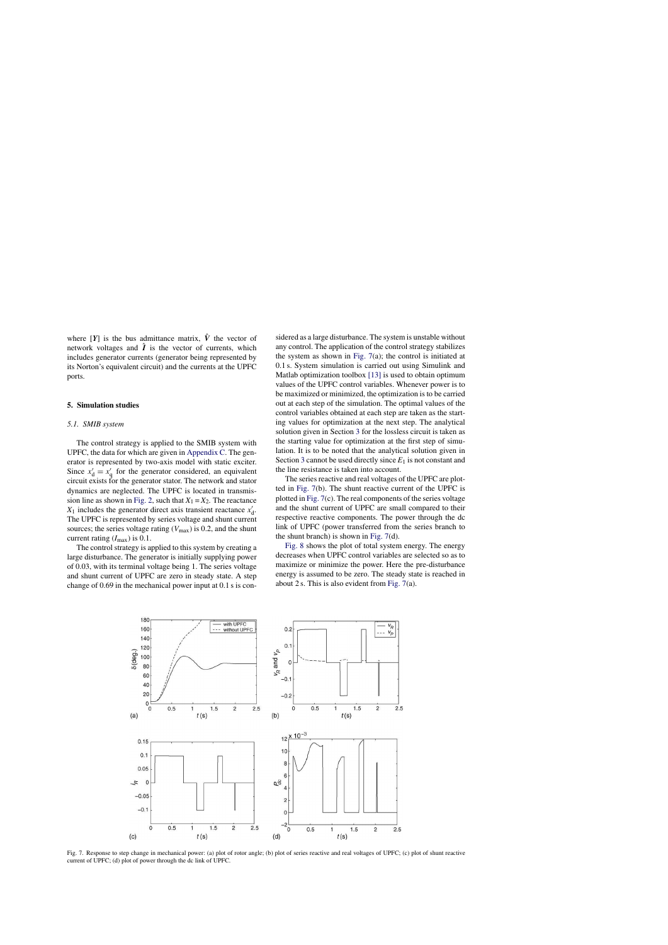where  $[Y]$  is the bus admittance matrix,  $\hat{V}$  the vector of network voltages and  $\hat{I}$  is the vector of currents, which includes generator currents (generator being represented by its Norton's equivalent circuit) and the currents at the UPFC ports.

# **5. Simulation studies**

#### *5.1. SMIB system*

The control strategy is applied to the SMIB system with UPFC, the data for which are given in Appendix C. The generator is represented by two-axis model with static exciter. Since  $x'_d = x'_g$  for the generator considered, an equivalent circuit exists for the generator stator. The network and stator dynamics are neglected. The UPFC is located in transmission line as shown in Fig. 2, such that  $X_1 = X_2$ . The reactance  $X_1$  includes the generator direct axis transient reactance  $x'_d$ . The UPFC is represented by series voltage and shunt current sources; the series voltage rating  $(V_{\text{max}})$  is 0.2, and the shunt current rating  $(I_{\text{max}})$  is 0.1.

The control strategy is applied to this system by creating a large disturbance. The generator is initially supplying power of 0.03, with its terminal voltage being 1. The series voltage and shunt current of UPFC are zero in steady state. A step change of 0.69 in the mechanical power input at 0.1 s is considered as a large disturbance. The system is unstable without any control. The application of the control strategy stabilizes the system as shown in Fig.  $7(a)$ ; the control is initiated at 0.1 s. System simulation is carried out using Simulink and Matlab optimization toolbox [13] is used to obtain optimum values of the UPFC control variables. Whenever power is to be maximized or minimized, the optimization is to be carried out at each step of the simulation. The optimal values of the control variables obtained at each step are taken as the starting values for optimization at the next step. The analytical solution given in Section 3 for the lossless circuit is taken as the starting value for optimization at the first step of simulation. It is to be noted that the analytical solution given in Section 3 cannot be used directly since *E*<sup>1</sup> is not constant and the line resistance is taken into account.

The series reactive and real voltages of the UPFC are plotted in Fig. 7(b). The shunt reactive current of the UPFC is plotted in Fig. 7(c). The real components of the series voltage and the shunt current of UPFC are small compared to their respective reactive components. The power through the dc link of UPFC (power transferred from the series branch to the shunt branch) is shown in Fig. 7(d).

Fig. 8 shows the plot of total system energy. The energy decreases when UPFC control variables are selected so as to maximize or minimize the power. Here the pre-disturbance energy is assumed to be zero. The steady state is reached in about 2 s. This is also evident from Fig. 7(a).



Fig. 7. Response to step change in mechanical power: (a) plot of rotor angle; (b) plot of series reactive and real voltages of UPFC; (c) plot of shunt reactive current of UPFC; (d) plot of power through the dc link of UPFC.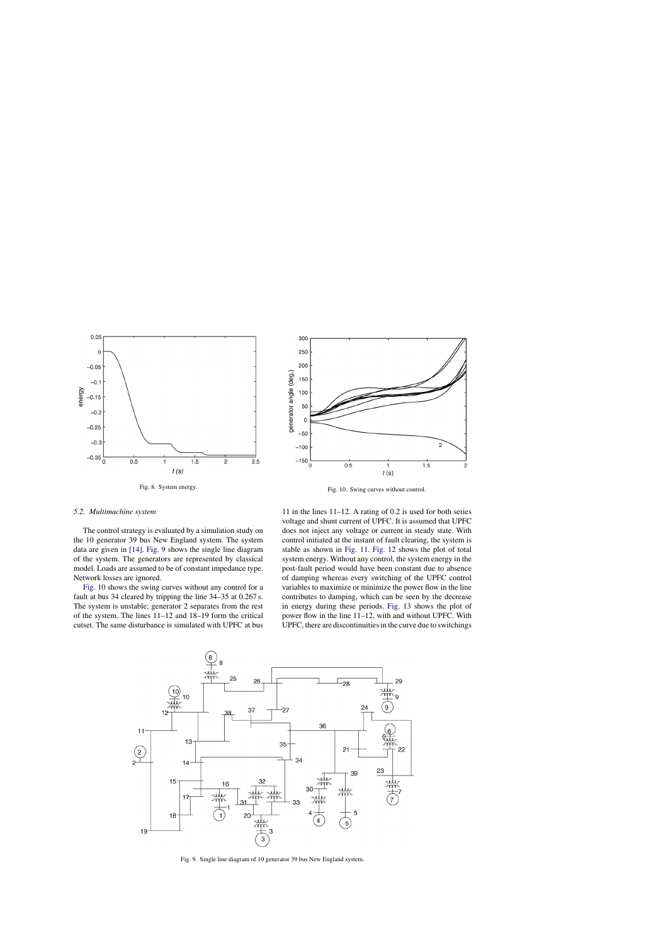



Fig. 10. Swing curves without control.

#### *5.2. Multimachine system*

The control strategy is evaluated by a simulation study on the 10 generator 39 bus New England system. The system data are given in [14]. Fig. 9 shows the single line diagram of the system. The generators are represented by classical model. Loads are assumed to be of constant impedance type. Network losses are ignored.

Fig. 10 shows the swing curves without any control for a fault at bus 34 cleared by tripping the line 34–35 at 0.267 s. The system is unstable; generator 2 separates from the rest of the system. The lines 11–12 and 18–19 form the critical cutset. The same disturbance is simulated with UPFC at bus

11 in the lines 11–12. A rating of 0.2 is used for both series voltage and shunt current of UPFC. It is assumed that UPFC does not inject any voltage or current in steady state. With control initiated at the instant of fault clearing, the system is stable as shown in Fig. 11. Fig. 12 shows the plot of total system energy. Without any control, the system energy in the post-fault period would have been constant due to absence of damping whereas every switching of the UPFC control variables to maximize or minimize the power flow in the line contributes to damping, which can be seen by the decrease in energy during these periods. Fig. 13 shows the plot of power flow in the line 11–12, with and without UPFC. With UPFC, there are discontinuities in the curve due to switchings



Fig. 9. Single line diagram of 10 generator 39 bus New England system.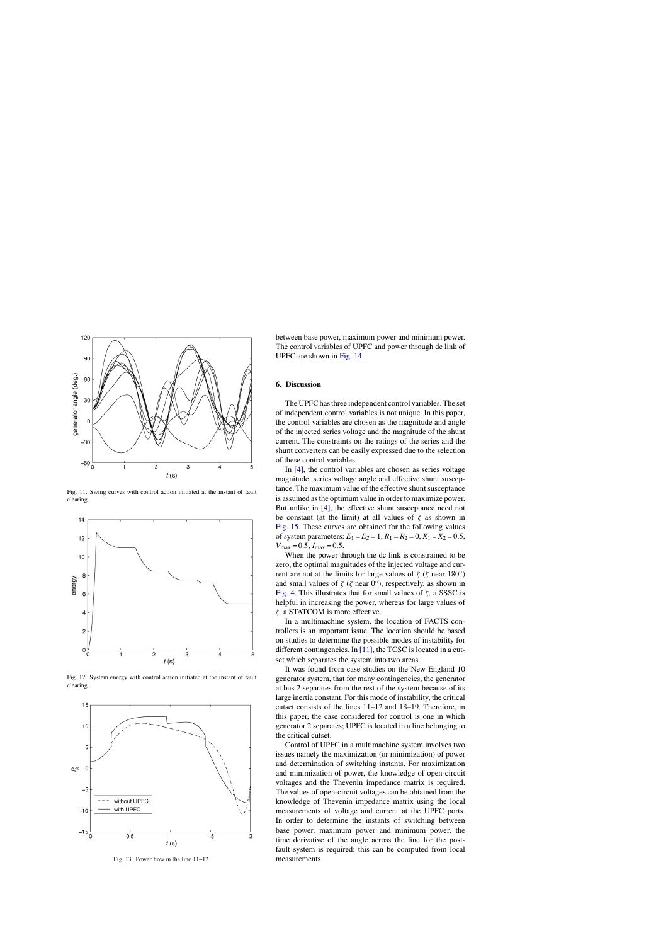

Fig. 11. Swing curves with control action initiated at the instant of fault clearing.



Fig. 12. System energy with control action initiated at the instant of fault clearing.



Fig. 13. Power flow in the line 11–12.

between base power, maximum power and minimum power. The control variables of UPFC and power through dc link of UPFC are shown in Fig. 14.

## **6. Discussion**

The UPFC has three independent control variables. The set of independent control variables is not unique. In this paper, the control variables are chosen as the magnitude and angle of the injected series voltage and the magnitude of the shunt current. The constraints on the ratings of the series and the shunt converters can be easily expressed due to the selection of these control variables.

In [4], the control variables are chosen as series voltage magnitude, series voltage angle and effective shunt susceptance. The maximum value of the effective shunt susceptance is assumed as the optimum value in order to maximize power. But unlike in [4], the effective shunt susceptance need not be constant (at the limit) at all values of  $\zeta$  as shown in Fig. 15. These curves are obtained for the following values of system parameters:  $E_1 = E_2 = 1$ ,  $R_1 = R_2 = 0$ ,  $X_1 = X_2 = 0.5$ ,  $V_{\text{max}} = 0.5, I_{\text{max}} = 0.5.$ 

When the power through the dc link is constrained to be zero, the optimal magnitudes of the injected voltage and current are not at the limits for large values of  $\zeta$  ( $\zeta$  near 180<sup>°</sup>) and small values of  $\zeta$  ( $\zeta$  near  $0^\circ$ ), respectively, as shown in Fig. 4. This illustrates that for small values of ζ*,* a SSSC is helpful in increasing the power, whereas for large values of ζ*,* a STATCOM is more effective.

In a multimachine system, the location of FACTS controllers is an important issue. The location should be based on studies to determine the possible modes of instability for different contingencies. In [11], the TCSC is located in a cutset which separates the system into two areas.

It was found from case studies on the New England 10 generator system, that for many contingencies, the generator at bus 2 separates from the rest of the system because of its large inertia constant. For this mode of instability, the critical cutset consists of the lines 11–12 and 18–19. Therefore, in this paper, the case considered for control is one in which generator 2 separates; UPFC is located in a line belonging to the critical cutset.

Control of UPFC in a multimachine system involves two issues namely the maximization (or minimization) of power and determination of switching instants. For maximization and minimization of power, the knowledge of open-circuit voltages and the Thevenin impedance matrix is required. The values of open-circuit voltages can be obtained from the knowledge of Thevenin impedance matrix using the local measurements of voltage and current at the UPFC ports. In order to determine the instants of switching between base power, maximum power and minimum power, the time derivative of the angle across the line for the postfault system is required; this can be computed from local measurements.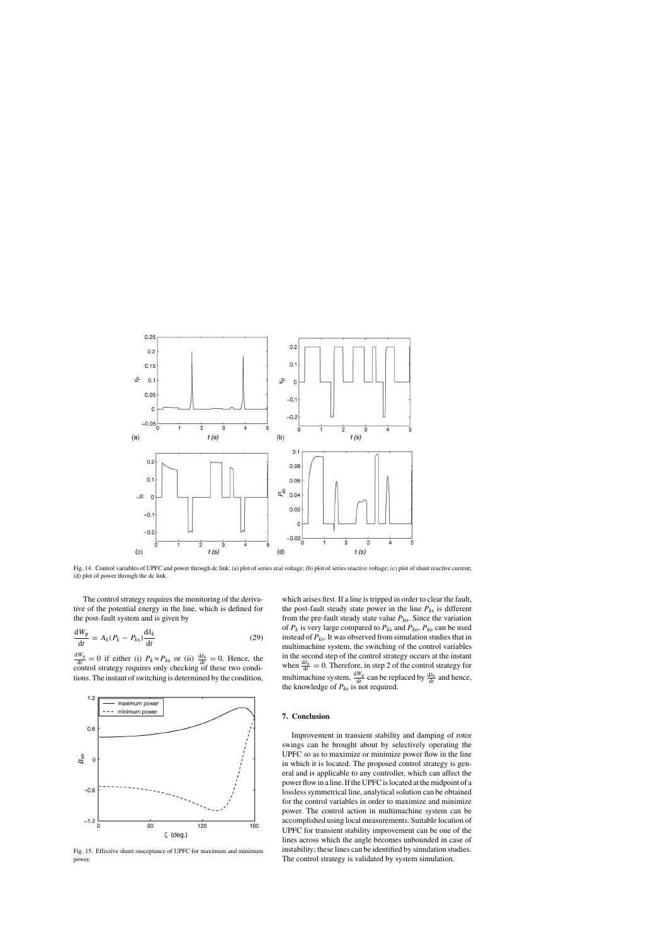

Fig. 14. Control variables of UPFC and power through dc link: (a) plot of series real voltage; (b) plot of series reactive voltage; (c) plot of shunt reactive current; (d) plot of power through the dc link.

The control strategy requires the monitoring of the derivative of the potential energy in the line, which is defined for the post-fault system and is given by

$$
\frac{dW_p}{dt} = A_k (P_k - P_{ks}) \frac{d\delta_k}{dt}
$$
\n(29)

 $\frac{dW_p}{dt} = 0$  if either (i)  $P_k = P_{ks}$  or (ii)  $\frac{d\delta_k}{dt} = 0$ . Hence, the control strategy requires only checking of these two conditions. The instant of switching is determined by the condition,



Fig. 15. Effective shunt susceptance of UPFC for maximum and minimum power.

which arises first. If a line is tripped in order to clear the fault, the post-fault steady state power in the line  $P_{ks}$  is different from the pre-fault steady state value  $P_{k0}$ . Since the variation of  $P_k$  is very large compared to  $P_{ks}$  and  $P_{ko}$ ,  $P_{ko}$  can be used instead of *Pk*<sup>s</sup> *.* It was observed from simulation studies that in multimachine system, the switching of the control variables in the second step of the control strategy occurs at the instant when  $\frac{d\delta_k}{dt} = 0$ . Therefore, in step 2 of the control strategy for multimachine system,  $\frac{dW_p}{dt}$  can be replaced by  $\frac{d\delta_k}{dt}$  and hence, the knowledge of  $P_{ks}$  is not required.

# **7. Conclusion**

Improvement in transient stability and damping of rotor swings can be brought about by selectively operating the UPFC so as to maximize or minimize power flow in the line in which it is located. The proposed control strategy is general and is applicable to any controller, which can affect the power flow in a line. If the UPFC is located at the midpoint of a lossless symmetrical line, analytical solution can be obtained for the control variables in order to maximize and minimize power. The control action in multimachine system can be accomplished using local measurements. Suitable location of UPFC for transient stability improvement can be one of the lines across which the angle becomes unbounded in case of instability; these lines can be identified by simulation studies. The control strategy is validated by system simulation.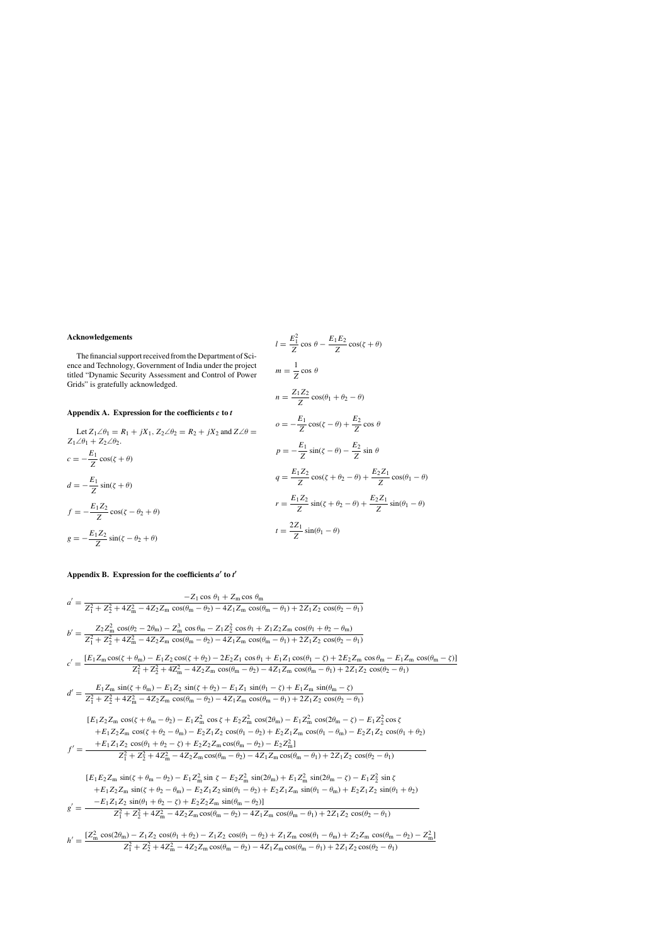# **Acknowledgements**

The financial support received from the Department of Science and Technology, Government of India under the project titled "Dynamic Security Assessment and Control of Power Grids" is gratefully acknowledged.

# **Appendix A. Expression for the coefficients** *c* **to** *t*

Let 
$$
Z_1 \angle \theta_1 = R_1 + jX_1
$$
,  $Z_2 \angle \theta_2 = R_2 + jX_2$  and  $Z \angle \theta =$   
\n
$$
Z_1 \angle \theta_1 + Z_2 \angle \theta_2.
$$
\n
$$
c = -\frac{E_1}{Z} \cos(\zeta + \theta)
$$
\n
$$
d = -\frac{E_1}{Z} \sin(\zeta + \theta)
$$
\n
$$
f = -\frac{E_1 Z_2}{Z} \cos(\zeta - \theta_2 + \theta)
$$
\n
$$
g = -\frac{E_1 Z_2}{Z} \sin(\zeta - \theta_2 + \theta)
$$
\n
$$
t = \frac{2}{\zeta}
$$

$$
l = \frac{E_1^2}{Z} \cos \theta - \frac{E_1 E_2}{Z} \cos(\zeta + \theta)
$$
  
\n
$$
m = \frac{1}{Z} \cos \theta
$$
  
\n
$$
n = \frac{Z_1 Z_2}{Z} \cos(\theta_1 + \theta_2 - \theta)
$$
  
\n
$$
\omega = -\frac{E_1}{Z} \cos(\zeta - \theta) + \frac{E_2}{Z} \cos \theta
$$
  
\n
$$
p = -\frac{E_1}{Z} \sin(\zeta - \theta) - \frac{E_2}{Z} \sin \theta
$$
  
\n
$$
q = \frac{E_1 Z_2}{Z} \cos(\zeta + \theta_2 - \theta) + \frac{E_2 Z_1}{Z} \cos(\theta_1 - \theta)
$$
  
\n
$$
r = \frac{E_1 Z_2}{Z} \sin(\zeta + \theta_2 - \theta) + \frac{E_2 Z_1}{Z} \sin(\theta_1 - \theta)
$$
  
\n
$$
t = \frac{2Z_1}{Z} \sin(\theta_1 - \theta)
$$

# **Appendix B. Expression for the coefficients** *a* ′ **to** *t* ′

$$
a' = \frac{-Z_1 \cos \theta_1 + Z_m \cos \theta_m}{Z_1^2 + Z_2^2 + 4Z_m^2 - 4Z_2 Z_m \cos(\theta_m - \theta_2) - 4Z_1 Z_m \cos(\theta_m - \theta_1) + 2Z_1 Z_2 \cos(\theta_2 - \theta_1)}
$$
  
\n
$$
b' = \frac{Z_2 Z_m^2 \cos(\theta_2 - 2\theta_m) - Z_m^3 \cos \theta_m - Z_1 Z_2^2 \cos \theta_1 + Z_1 Z_2 Z_m \cos(\theta_1 + \theta_2 - \theta_m)}{Z_1^2 + Z_2^2 + 4Z_m^2 - 4Z_2 Z_m \cos(\theta_m - \theta_2) - 4Z_1 Z_m \cos(\theta_m - \theta_1) + 2Z_1 Z_2 \cos(\theta_2 - \theta_1)}
$$
  
\n
$$
c' = \frac{[E_1 Z_m \cos(\zeta + \theta_m) - E_1 Z_2 \cos(\zeta + \theta_2) - 2E_2 Z_1 \cos \theta_1 + E_1 Z_1 \cos(\theta_1 - \zeta) + 2E_2 Z_m \cos \theta_m - E_1 Z_m \cos(\theta_m - \zeta)]}{Z_1^2 + Z_2^2 + 4Z_m^2 - 4Z_2 Z_m \cos(\theta_m - \theta_2) - 4Z_1 Z_m \cos(\theta_m - \theta_1) + 2Z_1 Z_2 \cos(\theta_2 - \theta_1)}
$$
  
\n
$$
d' = \frac{E_1 Z_m \sin(\zeta + \theta_m) - E_1 Z_2 \sin(\zeta + \theta_2) - E_1 Z_1 \sin(\theta_1 - \zeta) + E_1 Z_m \sin(\theta_m - \zeta)}{Z_1^2 + Z_2^2 + 4Z_m^2 - 4Z_2 Z_m \cos(\theta_m - \theta_2) - 4Z_1 Z_m \cos(\theta_m - \theta_1) + 2Z_1 Z_2 \cos(\theta_2 - \theta_1)}
$$
  
\n
$$
[E_1 Z_2 Z_m \cos(\zeta + \theta_m - \theta_2) - E_1 Z_m^2 \cos(\zeta + \theta_2 - \theta_m) - E_2 Z_m^2 \cos(2\theta_m) - E_1 Z_m^2 \cos(2\theta_m - \zeta) - E_1 Z_2^2 \cos \zeta
$$
  
\n
$$
+ E_1 Z_2 Z_m \cos(\zeta + \theta_2 -
$$

$$
h' = \frac{[Z_{\rm m}^2 \cos(2\theta_{\rm m}) - Z_1 Z_2 \cos(\theta_1 + \theta_2) - Z_1 Z_2 \cos(\theta_1 - \theta_2) + Z_1 Z_{\rm m} \cos(\theta_1 - \theta_{\rm m}) + Z_2 Z_{\rm m} \cos(\theta_{\rm m} - \theta_2) - Z_{\rm m}^2]}{Z_1^2 + Z_2^2 + 4Z_{\rm m}^2 - 4Z_2 Z_{\rm m} \cos(\theta_{\rm m} - \theta_2) - 4Z_1 Z_{\rm m} \cos(\theta_{\rm m} - \theta_1) + 2Z_1 Z_2 \cos(\theta_2 - \theta_1)}
$$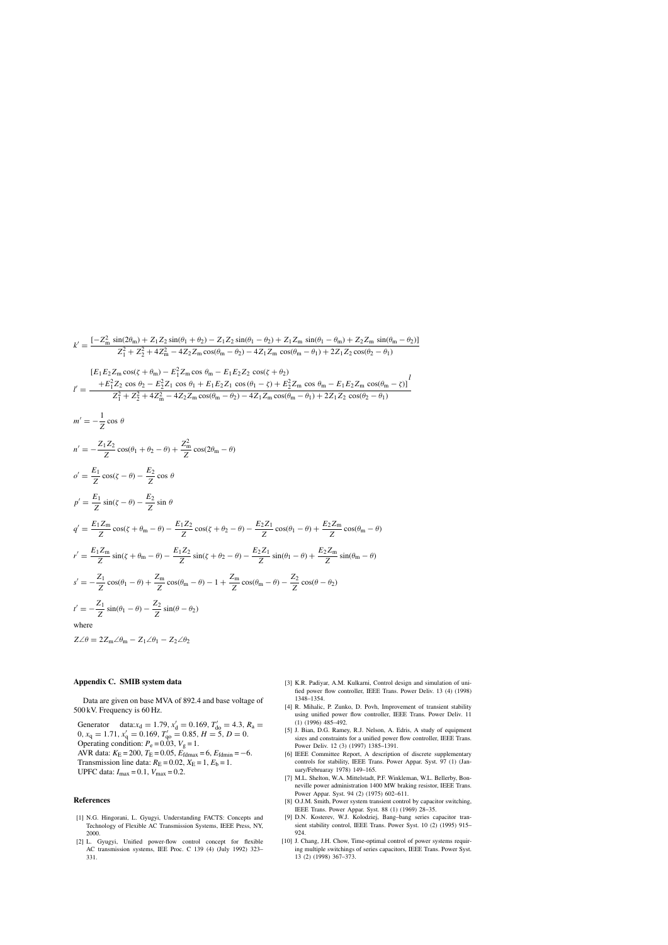$$
k' = \frac{[-Z_{\rm m}^2 \sin(2\theta_{\rm m}) + Z_1 Z_2 \sin(\theta_1 + \theta_2) - Z_1 Z_2 \sin(\theta_1 - \theta_2) + Z_1 Z_{\rm m} \sin(\theta_1 - \theta_{\rm m}) + Z_2 Z_{\rm m} \sin(\theta_{\rm m} - \theta_2)]}{Z_1^2 + Z_2^2 + 4Z_{\rm m}^2 - 4Z_2 Z_{\rm m} \cos(\theta_{\rm m} - \theta_2) - 4Z_1 Z_{\rm m} \cos(\theta_{\rm m} - \theta_1) + 2Z_1 Z_2 \cos(\theta_2 - \theta_1)}
$$

$$
l' = \frac{[E_1 E_2 Z_m \cos(\zeta + \theta_m) - E_1^2 Z_m \cos \theta_m - E_1 E_2 Z_2 \cos(\zeta + \theta_2)]}{Z_1^2 + Z_2^2 + 4Z_m^2 - 4Z_2 Z_m \cos(\theta_m - \theta_2) - 4Z_1 Z_m \cos(\theta_m - \theta_1) + 2Z_1 Z_2 \cos(\theta_2 - \theta_1)}
$$
  

$$
l' = \frac{+E_1^2 Z_2 \cos \theta_2 - E_2^2 Z_1 \cos \theta_1 + E_1 E_2 Z_1 \cos(\theta_1 - \zeta) + E_2^2 Z_m \cos \theta_m - E_1 E_2 Z_m \cos(\theta_m - \zeta)]^l}{Z_1^2 + Z_2^2 + 4Z_m^2 - 4Z_2 Z_m \cos(\theta_m - \theta_2) - 4Z_1 Z_m \cos(\theta_m - \theta_1) + 2Z_1 Z_2 \cos(\theta_2 - \theta_1)}
$$

$$
m' = -\frac{Z_1 Z_2}{Z} \cos \theta
$$
  
\n
$$
n' = -\frac{Z_1 Z_2}{Z} \cos(\theta_1 + \theta_2 - \theta) + \frac{Z_m^2}{Z} \cos(2\theta_m - \theta)
$$
  
\n
$$
\phi' = \frac{E_1}{Z} \cos(\zeta - \theta) - \frac{E_2}{Z} \cos \theta
$$
  
\n
$$
p' = \frac{E_1 Z_m}{Z} \cos(\zeta + \theta_m - \theta) - \frac{E_1 Z_2}{Z} \cos(\zeta + \theta_2 - \theta) - \frac{E_2 Z_1}{Z} \cos(\theta_1 - \theta) + \frac{E_2 Z_m}{Z} \cos(\theta_m - \theta)
$$
  
\n
$$
r' = \frac{E_1 Z_m}{Z} \sin(\zeta + \theta_m - \theta) - \frac{E_1 Z_2}{Z} \sin(\zeta + \theta_2 - \theta) - \frac{E_2 Z_1}{Z} \sin(\theta_1 - \theta) + \frac{E_2 Z_m}{Z} \sin(\theta_m - \theta)
$$
  
\n
$$
s' = -\frac{Z_1}{Z} \cos(\theta_1 - \theta) + \frac{Z_m}{Z} \cos(\theta_m - \theta) - 1 + \frac{Z_m}{Z} \cos(\theta_m - \theta) - \frac{Z_2}{Z} \cos(\theta - \theta_2)
$$
  
\n
$$
t' = -\frac{Z_1}{Z} \sin(\theta_1 - \theta) - \frac{Z_2}{Z} \sin(\theta - \theta_2)
$$
  
\nwhere  
\n
$$
Z \angle \theta = 2Z_m \angle \theta_m - Z_1 \angle \theta_1 - Z_2 \angle \theta_2
$$

# **Appendix C. SMIB system data**

Data are given on base MVA of 892.4 and base voltage of 500 kV. Frequency is 60 Hz.

Generator data: $x_d = 1.79$ ,  $x'_d = 0.169$ ,  $T'_{d0} = 4.3$ ,  $R_a =$  $0, x_{q} = 1.71, x'_{q} = 0.169, T'_{q0} = 0.85, H = 5, D = 0.$ Operating condition:  $P_e = 0.03$ ,  $V_g = 1$ . AVR data:  $K_E = 200$ ,  $T_E = 0.05$ ,  $E_{\text{fdmax}} = 6$ ,  $E_{\text{fdmin}} = -6$ . Transmission line data:  $R_E = 0.02$ ,  $X_E = 1$ ,  $E_b = 1$ . UPFC data:  $I_{\text{max}} = 0.1$ ,  $V_{\text{max}} = 0.2$ .

## **References**

- [1] N.G. Hingorani, L. Gyugyi, Understanding FACTS: Concepts and Technology of Flexible AC Transmission Systems, IEEE Press, NY, 2000.
- [2] L. Gyugyi, Unified power-flow control concept for flexible AC transmission systems, IEE Proc. C 139 (4) (July 1992) 323– 331.
- [3] K.R. Padiyar, A.M. Kulkarni, Control design and simulation of unified power flow controller, IEEE Trans. Power Deliv. 13 (4) (1998) 1348–1354.
- [4] R. Mihalic, P. Zunko, D. Povh, Improvement of transient stability using unified power flow controller, IEEE Trans. Power Deliv. 11 (1) (1996) 485–492.
- [5] J. Bian, D.G. Ramey, R.J. Nelson, A. Edris, A study of equipment sizes and constraints for a unified power flow controller, IEEE Trans. Power Deliv. 12 (3) (1997) 1385–1391.
- [6] IEEE Committee Report, A description of discrete supplementary controls for stability, IEEE Trans. Power Appar. Syst. 97 (1) (January/Februaray 1978) 149–165.
- [7] M.L. Shelton, W.A. Mittelstadt, P.F. Winkleman, W.L. Bellerby, Bonneville power administration 1400 MW braking resistor, IEEE Trans. Power Appar. Syst. 94 (2) (1975) 602–611.
- [8] O.J.M. Smith, Power system transient control by capacitor switching, IEEE Trans. Power Appar. Syst. 88 (1) (1969) 28–35.
- [9] D.N. Kosterev, W.J. Kolodziej, Bang–bang series capacitor transient stability control, IEEE Trans. Power Syst. 10 (2) (1995) 915– 924.
- [10] J. Chang, J.H. Chow, Time-optimal control of power systems requiring multiple switchings of series capacitors, IEEE Trans. Power Syst. 13 (2) (1998) 367–373.